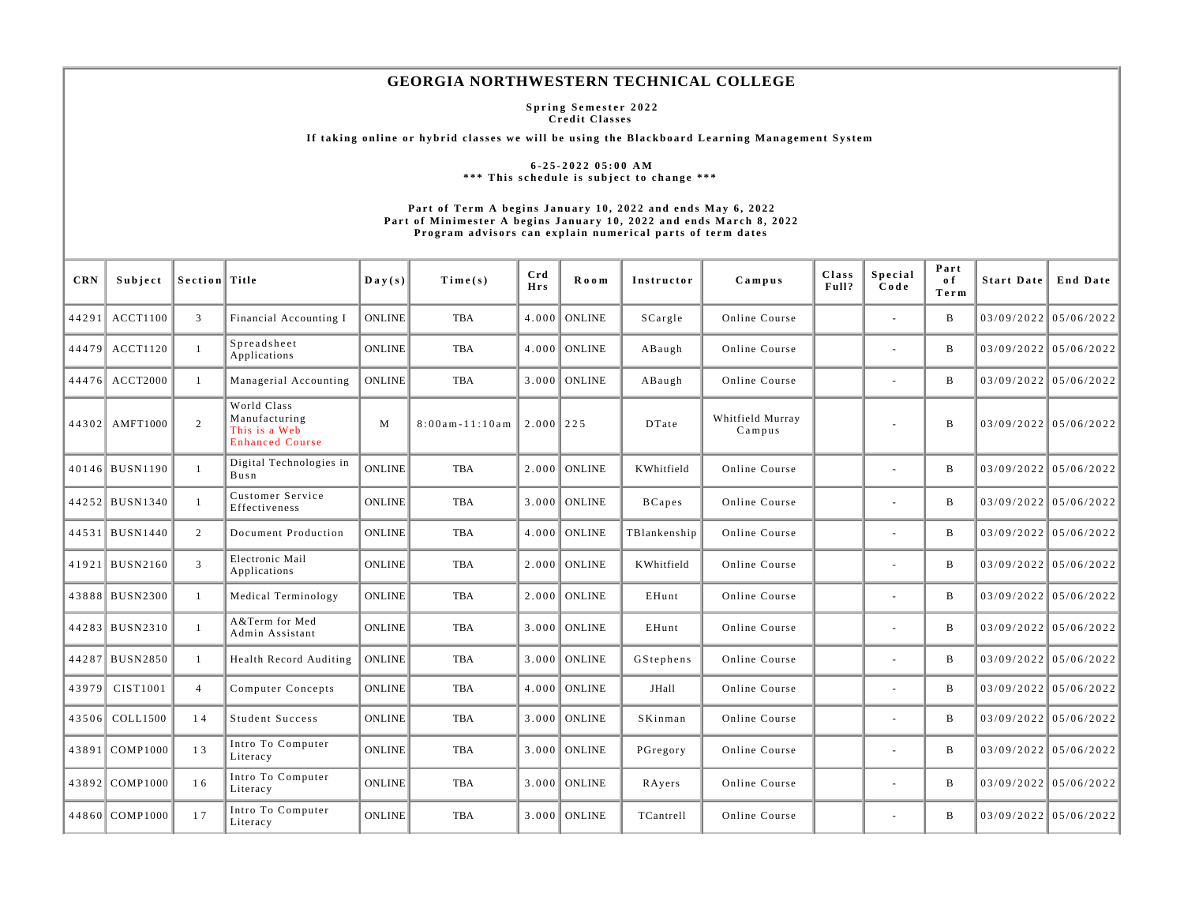## **GEORGIA NORTHWESTERN TECHNICAL COLLEGE**

**Spring Semester 2022 Credit Classes** 

**If taking online or hybrid classes we will be using the Blackboard Learning Management System** 

**6-25-2022 05:00 AM \*\*\* This schedule is subject to change \*\*\*** 

## **Part of Term A begins January 10, 2022 and ends May 6, 2022 Part of Minimester A begins January 10, 2022 and ends March 8, 2022 Program advisors can explain numerical parts of term dates**

| <b>CRN</b> | Subject        | Section Title  |                                                                         | $\mathbf{Day}(s)$ | Time(s)                | Crd<br><b>Hrs</b> | Room           | Instructor    | Campus                     | Class<br>Full? | Special<br>Code          | Part<br>o f<br>Term | Start Date | End Date                |
|------------|----------------|----------------|-------------------------------------------------------------------------|-------------------|------------------------|-------------------|----------------|---------------|----------------------------|----------------|--------------------------|---------------------|------------|-------------------------|
|            | 44291 ACCT1100 | 3              | Financial Accounting I                                                  | <b>ONLINE</b>     | <b>TBA</b>             |                   | $4.000$ ONLINE | SCargle       | Online Course              |                | $\sim$                   | B                   |            | $03/09/2022$ 05/06/2022 |
|            | 44479 ACCT1120 | $\overline{1}$ | Spreadsheet<br>Applications                                             | <b>ONLINE</b>     | TBA                    |                   | $4.000$ ONLINE | ABaugh        | Online Course              |                | $\sim$                   | B                   |            | $03/09/2022$ 05/06/2022 |
|            | 44476 ACCT2000 | -1             | Managerial Accounting                                                   | <b>ONLINE</b>     | TBA                    |                   | $3.000$ ONLINE | ABaugh        | Online Course              |                | $\sim$                   | $\mathbf{B}$        |            | $03/09/2022$ 05/06/2022 |
|            | 44302 AMFT1000 | 2              | World Class<br>Manufacturing<br>This is a Web<br><b>Enhanced Course</b> | M                 | $8:00$ am - $11:10$ am | $2.000$   225     |                | DTate         | Whitfield Murray<br>Campus |                |                          | $\mathbf{B}$        |            | $03/09/2022$ 05/06/2022 |
|            | 40146 BUSN1190 | -1             | Digital Technologies in<br>Busn                                         | <b>ONLINE</b>     | TBA                    |                   | $2.000$ ONLINE | KWhitfield    | Online Course              |                |                          | $\mathbf{B}$        |            | $03/09/2022$ 05/06/2022 |
|            | 44252 BUSN1340 | $\overline{1}$ | Customer Service<br>Effectiveness                                       | <b>ONLINE</b>     | TBA                    |                   | $3.000$ ONLINE | <b>BCapes</b> | Online Course              |                | $\overline{\phantom{a}}$ | B                   |            | $03/09/2022$ 05/06/2022 |
|            | 44531 BUSN1440 | 2              | Document Production                                                     | <b>ONLINE</b>     | TBA                    |                   | $4.000$ ONLINE | TBlankenship  | Online Course              |                | $\sim$                   | B                   |            | $03/09/2022$ 05/06/2022 |
|            | 41921 BUSN2160 | 3              | Electronic Mail<br>Applications                                         | <b>ONLINE</b>     | TBA                    |                   | $2.000$ ONLINE | KWhitfield    | Online Course              |                | $\sim$                   | $\, {\bf B}$        |            | $03/09/2022$ 05/06/2022 |
|            | 43888 BUSN2300 | -1             | Medical Terminology                                                     | <b>ONLINE</b>     | TBA                    |                   | $2.000$ ONLINE | EHunt         | Online Course              |                | $\sim$                   | B                   |            | $03/09/2022$ 05/06/2022 |
|            | 44283 BUSN2310 | $\mathbf{1}$   | A&Term for Med<br>Admin Assistant                                       | <b>ONLINE</b>     | <b>TBA</b>             |                   | $3.000$ ONLINE | EHunt         | Online Course              |                |                          | B                   |            | $03/09/2022$ 05/06/2022 |
|            | 44287 BUSN2850 | -1             | Health Record Auditing                                                  | <b>ONLINE</b>     | <b>TBA</b>             |                   | $3.000$ ONLINE | GStephens     | Online Course              |                |                          | $\, {\bf B}$        |            | $03/09/2022$ 05/06/2022 |
|            | 43979 CIST1001 | $\overline{4}$ | Computer Concepts                                                       | <b>ONLINE</b>     | TBA                    |                   | $4.000$ ONLINE | JHall         | Online Course              |                |                          | B                   |            | $03/09/2022$ 05/06/2022 |
|            | 43506 COLL1500 | 14             | Student Success                                                         | <b>ONLINE</b>     | TBA                    |                   | $3.000$ ONLINE | SKinman       | Online Course              |                | $\sim$                   | B                   |            | $03/09/2022$ 05/06/2022 |
|            | 43891 COMP1000 | 13             | Intro To Computer<br>Literacy                                           | <b>ONLINE</b>     | TBA                    |                   | $3.000$ ONLINE | PGregory      | Online Course              |                | $\overline{\phantom{a}}$ | B                   |            | $03/09/2022$ 05/06/2022 |
|            | 43892 COMP1000 | 16             | Intro To Computer<br>Literacy                                           | <b>ONLINE</b>     | TBA                    |                   | $3.000$ ONLINE | RAyers        | Online Course              |                |                          | B                   |            | $03/09/2022$ 05/06/2022 |
|            | 44860 COMP1000 | 17             | Intro To Computer<br>Literacy                                           | <b>ONLINE</b>     | <b>TBA</b>             |                   | $3.000$ ONLINE | TCantrell     | Online Course              |                |                          | $\mathbf B$         |            | $03/09/2022$ 05/06/2022 |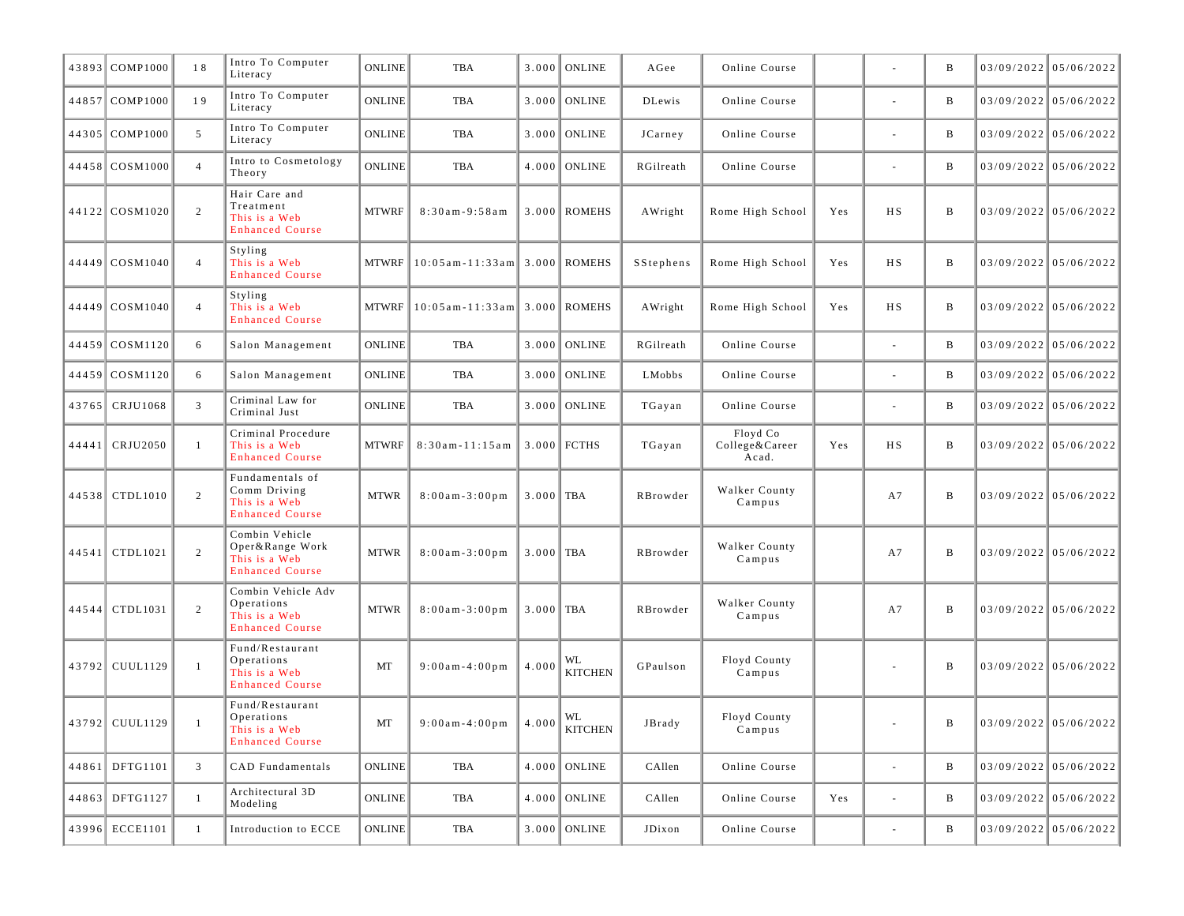| 43893 COMP1000   | 18             | Intro To Computer<br>Literacy                                                | <b>ONLINE</b> | <b>TBA</b>                            |             | $3.000$ ONLINE       | AGee            | Online Course                       |     |                          | B            |                         | $03/09/2022$ 05/06/2022 |
|------------------|----------------|------------------------------------------------------------------------------|---------------|---------------------------------------|-------------|----------------------|-----------------|-------------------------------------|-----|--------------------------|--------------|-------------------------|-------------------------|
| 44857 COMP1000   | 19             | Intro To Computer<br>Literacy                                                | <b>ONLINE</b> | TBA                                   | 3.000       | ONLINE               | <b>DLewis</b>   | Online Course                       |     | $\bar{a}$                | B            |                         | $03/09/2022$ 05/06/2022 |
| 44305 COMP1000   | 5              | Intro To Computer<br>Literacy                                                | <b>ONLINE</b> | TBA                                   |             | 3.000 ONLINE         | JCarney         | Online Course                       |     |                          | B            |                         | $03/09/2022$ 05/06/2022 |
| 44458 COSM1000   | $\overline{4}$ | Intro to Cosmetology<br>Theory                                               | <b>ONLINE</b> | <b>TBA</b>                            |             | $4.000$ ONLINE       | RGilreath       | Online Course                       |     | $\bar{a}$                | $\, {\bf B}$ |                         | 03/09/2022 05/06/2022   |
| 44122 COSM1020   | 2              | Hair Care and<br>Treatment<br>This is a Web<br><b>Enhanced Course</b>        | <b>MTWRF</b>  | $8:30am - 9:58am$                     |             | $3.000$ ROMEHS       | AWright         | Rome High School                    | Yes | H S                      | B            |                         | $03/09/2022$ 05/06/2022 |
| 44449   COSM1040 | $\overline{4}$ | Styling<br>This is a Web<br><b>Enhanced Course</b>                           |               | MTWRF $ 10:05$ am - 11:33am           |             | 3.000 ROMEHS         | SStephens       | Rome High School                    | Yes | H S                      | B            |                         | $03/09/2022$ 05/06/2022 |
| 44449   COSM1040 | $\overline{4}$ | Styling<br>This is a Web<br><b>Enhanced Course</b>                           |               | MTWRF $ 10:05$ am - 11:33 am          |             | 3.000 ROMEHS         | AWright         | Rome High School                    | Yes | H S                      | B            |                         | $03/09/2022$ 05/06/2022 |
| 44459 COSM1120   | 6              | Salon Management                                                             | <b>ONLINE</b> | TBA                                   | 3.000       | <b>ONLINE</b>        | RGilreath       | Online Course                       |     | $\bar{a}$                | $\, {\bf B}$ |                         | $03/09/2022$ 05/06/2022 |
| 44459 COSM1120   | 6              | Salon Management                                                             | <b>ONLINE</b> | TBA                                   |             | $3.000$ ONLINE       | LMobbs          | Online Course                       |     |                          | B            |                         | $03/09/2022$ 05/06/2022 |
| 43765   CRJU1068 | 3              | Criminal Law for<br>Criminal Just                                            | <b>ONLINE</b> | TBA                                   |             | $3.000$ ONLINE       | TGayan          | Online Course                       |     | $\bar{a}$                | B            |                         | $03/09/2022$ 05/06/2022 |
| 44441   CRJU2050 | -1             | Criminal Procedure<br>This is a Web<br><b>Enhanced Course</b>                | <b>MTWRF</b>  | $8:30am - 11:15am$                    |             | 3.000 FCTHS          | TGayan          | Floyd Co<br>College&Career<br>Acad. | Yes | H S                      | $\, {\bf B}$ |                         | $03/09/2022$ 05/06/2022 |
| 44538   CTDL1010 | 2              | Fundamentals of<br>Comm Driving<br>This is a Web<br><b>Enhanced Course</b>   | <b>MTWR</b>   | $8:00$ am - 3:00 pm                   | $3.000$ TBA |                      | RBrowder        | Walker County<br>Campus             |     | A7                       | B            |                         | $03/09/2022$ 05/06/2022 |
| 44541 CTDL1021   | 2              | Combin Vehicle<br>Oper&Range Work<br>This is a Web<br><b>Enhanced Course</b> | <b>MTWR</b>   | $8:00a m - 3:00 p m$                  | $3.000$ TBA |                      | RBrowder        | Walker County<br>Campus             |     | A7                       | B            |                         | $03/09/2022$ 05/06/2022 |
| 44544   CTDL1031 | 2              | Combin Vehicle Adv<br>Operations<br>This is a Web<br><b>Enhanced Course</b>  | <b>MTWR</b>   | $8:00a m - 3:00 p m$                  | $3.000$ TBA |                      | RBrowder        | Walker County<br>Campus             |     | A7                       | B            |                         | $03/09/2022$ 05/06/2022 |
| 43792 CUUL1129   | $\overline{1}$ | Fund/Restaurant<br>Operations<br>This is a Web<br><b>Enhanced Course</b>     | MT            | $9:00$ am - 4:00 pm                   | 4.000       | WL<br><b>KITCHEN</b> | GPaulson        | Floyd County<br>Campus              |     |                          | B            |                         | $03/09/2022$ 05/06/2022 |
| 43792 CUUL1129   |                | Fund/Restaurant<br>Operations<br>This is a Web<br><b>Enhanced Course</b>     | MT            | 9:00am-4:00pm $ 4.000 \times 10^{10}$ |             | KITCHEN              | $_{\rm JBrady}$ | Floyd County<br>Campus              |     |                          | B            | $03/09/2022$ 05/06/2022 |                         |
| 44861 DFTG1101   | $\mathfrak{Z}$ | CAD Fundamentals                                                             | <b>ONLINE</b> | TBA                                   |             | $4.000$ ONLINE       | CAllen          | Online Course                       |     | $\overline{\phantom{a}}$ | B            |                         | $03/09/2022$ 05/06/2022 |
| 44863 DFTG1127   | -1             | Architectural 3D<br>Modeling                                                 | <b>ONLINE</b> | TBA                                   |             | $4.000$ ONLINE       | CAllen          | Online Course                       | Yes | $\blacksquare$           | B            |                         | $03/09/2022$ 05/06/2022 |
| 43996 ECCE1101   | $\mathbf{1}$   | Introduction to ECCE                                                         | <b>ONLINE</b> | TBA                                   |             | $3.000$ ONLINE       | JDixon          | Online Course                       |     | ÷,                       | B            |                         | $03/09/2022$ 05/06/2022 |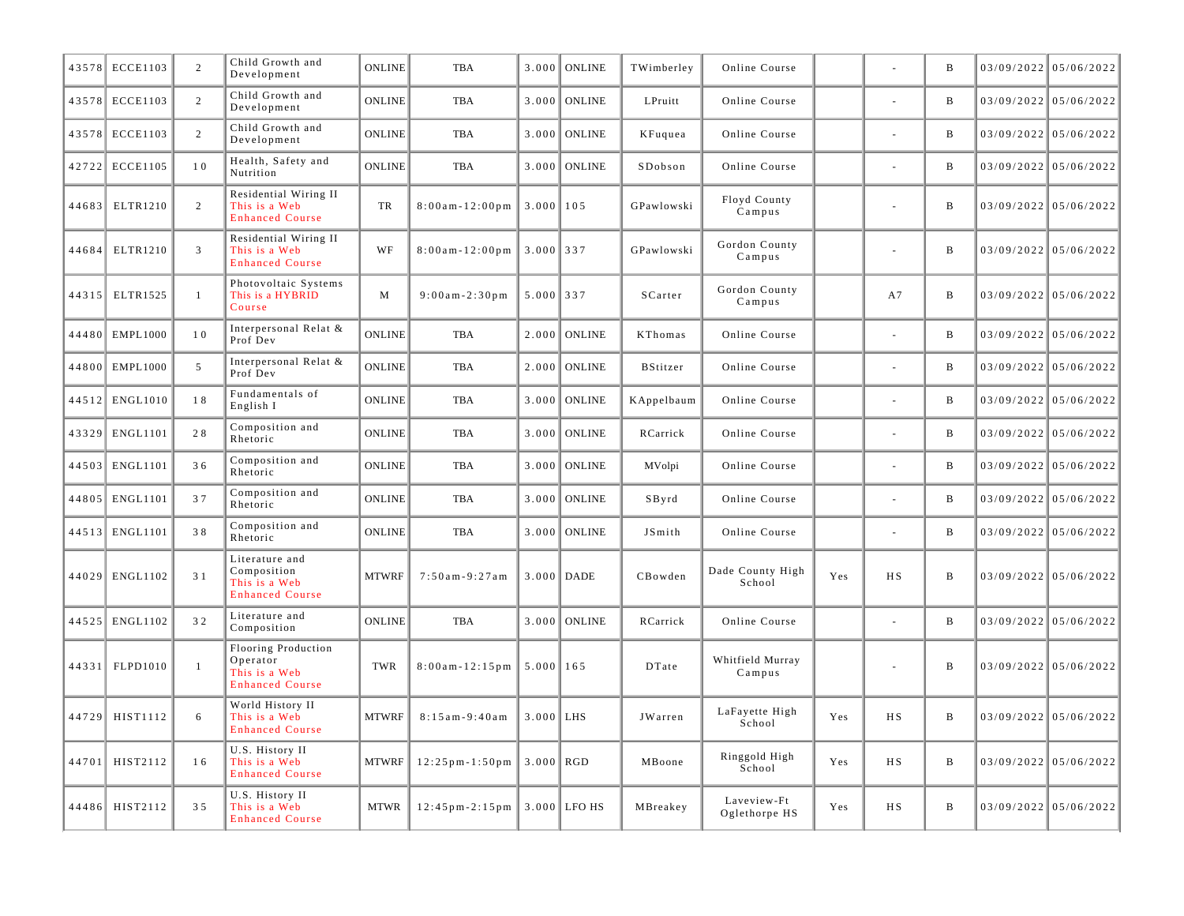|       | 43578 ECCE1103  | 2              | Child Growth and<br>Development                                            | <b>ONLINE</b> | <b>TBA</b>             | 3.000         | <b>ONLINE</b>  | TWimberley      | Online Course                |     |                | $\mathbf B$  | 03/09/2022 05/06/2022   |
|-------|-----------------|----------------|----------------------------------------------------------------------------|---------------|------------------------|---------------|----------------|-----------------|------------------------------|-----|----------------|--------------|-------------------------|
|       | 43578 ECCE1103  | 2              | Child Growth and<br>Development                                            | <b>ONLINE</b> | <b>TBA</b>             | 3.000         | <b>ONLINE</b>  | LPruitt         | Online Course                |     |                | $\mathbf B$  | $03/09/2022$ 05/06/2022 |
|       | 43578 ECCE1103  | 2              | Child Growth and<br>Development                                            | <b>ONLINE</b> | <b>TBA</b>             | 3.000         | ONLINE         | KFuquea         | Online Course                |     |                | $\mathbf B$  | 03/09/2022 05/06/2022   |
|       | 42722 ECCE1105  | $1\,0$         | Health, Safety and<br>Nutrition                                            | <b>ONLINE</b> | <b>TBA</b>             | 3.000         | ONLINE         | SDobson         | Online Course                |     |                | $\, {\bf B}$ | 03/09/2022 05/06/2022   |
| 44683 | ELTR1210        | 2              | Residential Wiring II<br>This is a Web<br><b>Enhanced Course</b>           | TR            | $8:00$ am - $12:00$ pm | $3.000$   105 |                | GPawlowski      | Floyd County<br>Campus       |     | ä,             | $\, {\bf B}$ | $03/09/2022$ 05/06/2022 |
| 44684 | ELTR1210        | $\overline{3}$ | Residential Wiring II<br>This is a Web<br><b>Enhanced Course</b>           | WF            | $8:00$ am - $12:00$ pm | $3.000$ 337   |                | GPawlowski      | Gordon County<br>Campus      |     |                | B            | $03/09/2022$ 05/06/2022 |
|       | 44315 ELTR1525  | $\mathbf{1}$   | Photovoltaic Systems<br>This is a HYBRID<br>Course                         | M             | $9:00am - 2:30pm$      | $5.000$ 337   |                | SCarter         | Gordon County<br>Campus      |     | A7             | $\, {\bf B}$ | $03/09/2022$ 05/06/2022 |
|       | 44480 EMPL1000  | 10             | Interpersonal Relat &<br>Prof Dev                                          | <b>ONLINE</b> | <b>TBA</b>             |               | $2.000$ ONLINE | KThomas         | Online Course                |     |                | $\, {\bf B}$ | 03/09/2022 05/06/2022   |
| 44800 | EMPL1000        | 5              | Interpersonal Relat &<br>Prof Dev                                          | <b>ONLINE</b> | <b>TBA</b>             | 2.000         | <b>ONLINE</b>  | <b>BStitzer</b> | Online Course                |     |                | $\, {\bf B}$ | 03/09/2022 05/06/2022   |
|       | 44512 ENGL1010  | 18             | Fundamentals of<br>English I                                               | <b>ONLINE</b> | <b>TBA</b>             | 3.000         | <b>ONLINE</b>  | KAppelbaum      | Online Course                |     |                | $\, {\bf B}$ | 03/09/2022 05/06/2022   |
| 43329 | <b>ENGL1101</b> | 28             | Composition and<br>Rhetoric                                                | <b>ONLINE</b> | <b>TBA</b>             | 3.000         | <b>ONLINE</b>  | RCarrick        | Online Course                |     | ٠              | $\, {\bf B}$ | 03/09/2022 05/06/2022   |
|       | 44503 ENGL1101  | 36             | Composition and<br>Rhetoric                                                | <b>ONLINE</b> | <b>TBA</b>             | 3.000         | ONLINE         | MVolpi          | Online Course                |     |                | $\, {\bf B}$ | 03/09/2022 05/06/2022   |
|       | 44805 ENGL1101  | 37             | Composition and<br>Rhetoric                                                | <b>ONLINE</b> | <b>TBA</b>             | 3.000         | <b>ONLINE</b>  | SByrd           | Online Course                |     |                | $\, {\bf B}$ | 03/09/2022 05/06/2022   |
|       | 44513 ENGL1101  | 38             | Composition and<br>Rhetoric                                                | <b>ONLINE</b> | <b>TBA</b>             |               | $3.000$ ONLINE | JSmith          | Online Course                |     |                | $\, {\bf B}$ | 03/09/2022 05/06/2022   |
|       | 44029 ENGL1102  | 3 1            | Literature and<br>Composition<br>This is a Web<br><b>Enhanced Course</b>   | <b>MTWRF</b>  | $7:50am - 9:27am$      | $3.000$ DADE  |                | CBowden         | Dade County High<br>School   | Yes | H S            | $\, {\bf B}$ | $03/09/2022$ 05/06/2022 |
|       | 44525 ENGL1102  | 32             | Literature and<br>Composition                                              | <b>ONLINE</b> | <b>TBA</b>             | 3.000         | <b>ONLINE</b>  | RCarrick        | Online Course                |     | L,             | $\, {\bf B}$ | 03/09/2022 05/06/2022   |
| 44331 | FLPD1010        | -1             | Flooring Production<br>Operator<br>This is a Web<br><b>Enhanced Course</b> | TWR           | $8:00$ am - $12:15$ pm | $5.000$   165 |                | DTate           | Whitfield Murray<br>Campus   |     |                | $\, {\bf B}$ | $03/09/2022$ 05/06/2022 |
|       | 44729 HIST1112  | 6              | World History II<br>This is a Web<br><b>Enhanced Course</b>                | <b>MTWRF</b>  | $8:15am-9:40am$        | $3.000$ LHS   |                | JWarren         | LaFayette High<br>School     | Yes | H S            | $\, {\bf B}$ | $03/09/2022$ 05/06/2022 |
| 44701 | HIST2112        | 16             | U.S. History II<br>This is a Web<br><b>Enhanced Course</b>                 | <b>MTWRF</b>  | $12:25$ pm - $1:50$ pm | $3.000$ RGD   |                | MBoone          | Ringgold High<br>School      | Yes | H S            | $\, {\bf B}$ | 03/09/2022 05/06/2022   |
| 44486 | HIST2112        | 35             | U.S. History II<br>This is a Web<br><b>Enhanced Course</b>                 | <b>MTWR</b>   | $12:45$ pm - 2:15 pm   |               | $3.000$ LFO HS | MBreakey        | Laveview-Ft<br>Oglethorpe HS | Yes | H <sub>S</sub> | $\bf{B}$     | 03/09/2022 05/06/2022   |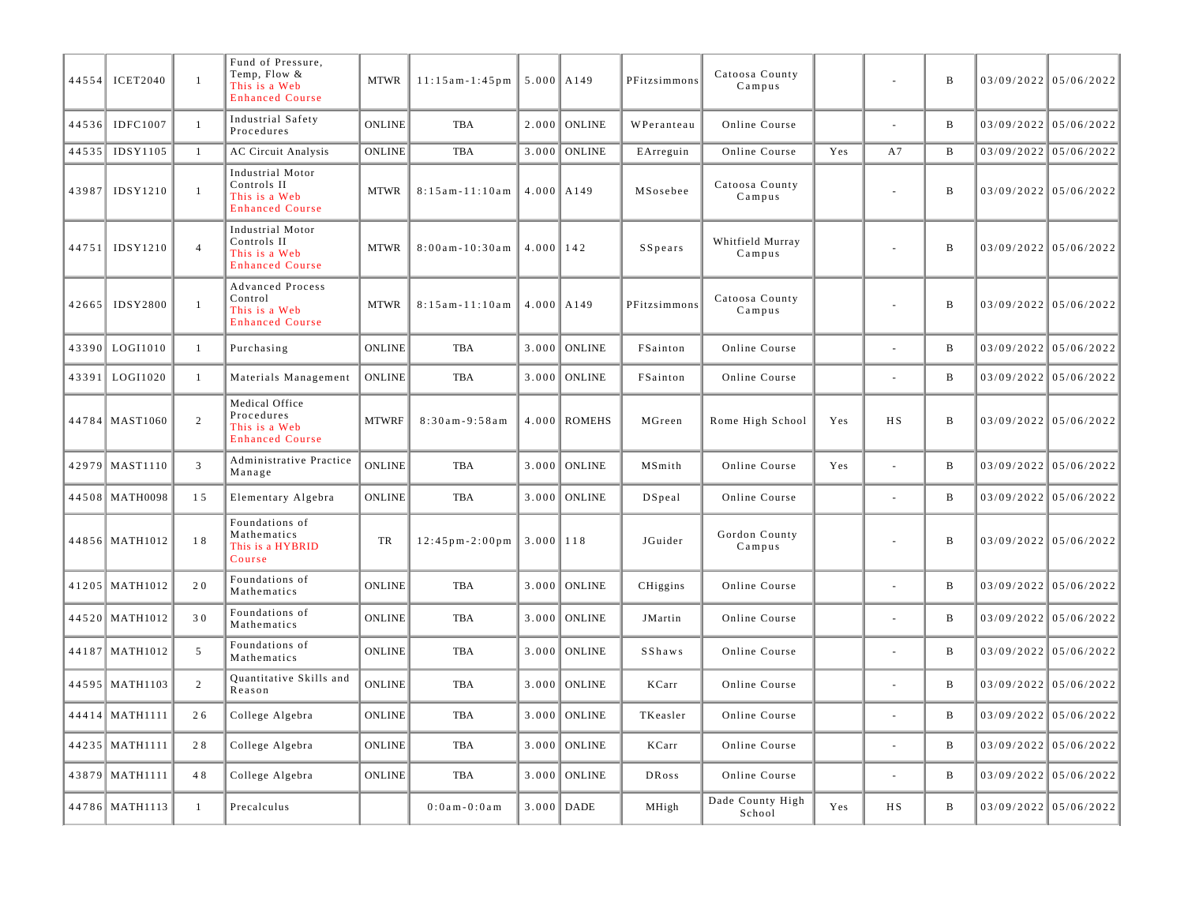| 44554 | <b>ICET2040</b>  | $\mathbf{1}$   | Fund of Pressure,<br>Temp, Flow &<br>This is a Web<br><b>Enhanced Course</b>  | <b>MTWR</b>   | $11:15am-1:45pm$       | $5.000$ $\vert$ A149 |                | PFitzsimmons | Catoosa County<br>Campus   |     | $\overline{\phantom{a}}$ | B            | 03/09/2022 05/06/2022   |
|-------|------------------|----------------|-------------------------------------------------------------------------------|---------------|------------------------|----------------------|----------------|--------------|----------------------------|-----|--------------------------|--------------|-------------------------|
| 44536 | <b>IDFC1007</b>  | $\mathbf{1}$   | Industrial Safety<br>Procedures                                               | <b>ONLINE</b> | <b>TBA</b>             | 2.000                | <b>ONLINE</b>  | WPeranteau   | Online Course              |     | ÷,                       | $\, {\bf B}$ | 03/09/2022 05/06/2022   |
| 44535 | IDSY1105         | 1              | <b>AC Circuit Analysis</b>                                                    | <b>ONLINE</b> | <b>TBA</b>             | 3.000                | <b>ONLINE</b>  | EArreguin    | Online Course              | Yes | A7                       | B            | 03/09/2022 05/06/2022   |
| 43987 | IDSY1210         | $\mathbf{1}$   | Industrial Motor<br>Controls II<br>This is a Web<br><b>Enhanced Course</b>    | <b>MTWR</b>   | $8:15$ am - $11:10$ am | $4.000$ $A149$       |                | MSosebee     | Catoosa County<br>Campus   |     |                          | $\, {\bf B}$ | 03/09/2022 05/06/2022   |
| 44751 | IDSY1210         | $\overline{4}$ | Industrial Motor<br>Controls II<br>This is a Web<br><b>Enhanced Course</b>    | <b>MTWR</b>   | $8:00$ am - 10:30am    | $4.000$   142        |                | SSpears      | Whitfield Murray<br>Campus |     | $\overline{\phantom{a}}$ | $\, {\bf B}$ | $03/09/2022$ 05/06/2022 |
| 42665 | <b>IDSY2800</b>  | $\overline{1}$ | <b>Advanced Process</b><br>Control<br>This is a Web<br><b>Enhanced Course</b> | <b>MTWR</b>   | $8:15$ am - $11:10$ am | $4.000$ $A149$       |                | PFitzsimmons | Catoosa County<br>Campus   |     | $\overline{\phantom{a}}$ | $\, {\bf B}$ | 03/09/2022 05/06/2022   |
| 43390 | LOGI1010         | -1             | Purchasing                                                                    | <b>ONLINE</b> | <b>TBA</b>             | 3.000                | <b>ONLINE</b>  | FSainton     | Online Course              |     | ÷.                       | $\, {\bf B}$ | 03/09/2022 05/06/2022   |
| 43391 | LOGI1020         | $\mathbf{1}$   | Materials Management                                                          | ONLINE        | <b>TBA</b>             | 3.000                | <b>ONLINE</b>  | FSainton     | Online Course              |     |                          | $\mathbf B$  | 03/09/2022 05/06/2022   |
|       | 44784 MAST1060   | 2              | Medical Office<br>Procedures<br>This is a Web<br><b>Enhanced Course</b>       | <b>MTWRF</b>  | $8:30am - 9:58am$      |                      | $4.000$ ROMEHS | MGreen       | Rome High School           | Yes | <b>HS</b>                | $\, {\bf B}$ | 03/09/2022 05/06/2022   |
|       | 42979 MAST1110   | $\overline{3}$ | Administrative Practice<br>Manage                                             | ONLINE        | <b>TBA</b>             | 3.000                | <b>ONLINE</b>  | MSmith       | Online Course              | Yes | $\sim$                   | B            | 03/09/2022 05/06/2022   |
|       | 44508 MATH0098   | 15             | Elementary Algebra                                                            | <b>ONLINE</b> | <b>TBA</b>             | 3.000                | <b>ONLINE</b>  | DSpeal       | Online Course              |     | $\overline{\phantom{a}}$ | $\, {\bf B}$ | 03/09/2022 05/06/2022   |
|       | 44856 MATH1012   | 18             | Foundations of<br>Mathematics<br>This is a HYBRID<br>Course                   | TR            | $12:45$ pm $-2:00$ pm  | $3.000$   118        |                | JGuider      | Gordon County<br>Campus    |     |                          | $\, {\bf B}$ | 03/09/2022 05/06/2022   |
|       | 41205 MATH1012   | 20             | Foundations of<br>Mathematics                                                 | <b>ONLINE</b> | <b>TBA</b>             | 3.000                | <b>ONLINE</b>  | CHiggins     | Online Course              |     |                          | $\, {\bf B}$ | 03/09/2022 05/06/2022   |
|       | 44520 MATH1012   | 30             | Foundations of<br>Mathematics                                                 | <b>ONLINE</b> | TBA                    | 3.000                | <b>ONLINE</b>  | JMartin      | Online Course              |     |                          | B            | 03/09/2022 05/06/2022   |
|       | 44187 MATH1012   | 5              | Foundations of<br>Mathematics                                                 | <b>ONLINE</b> | <b>TBA</b>             | 3.000                | <b>ONLINE</b>  | SShaws       | Online Course              |     | $\blacksquare$           | $\, {\bf B}$ | 03/09/2022 05/06/2022   |
|       | 44595   MATH1103 | $\overline{c}$ | Quantitative Skills and<br>Reason                                             | <b>ONLINE</b> | <b>TBA</b>             | 3.000                | <b>ONLINE</b>  | KCarr        | Online Course              |     |                          | B            | 03/09/2022 05/06/2022   |
| 44414 | <b>MATH1111</b>  | 26             | College Algebra                                                               | <b>ONLINE</b> | <b>TBA</b>             | 3.000                | <b>ONLINE</b>  | TKeasler     | Online Course              |     |                          | $\, {\bf B}$ | 03/09/2022 05/06/2022   |
|       | 44235 MATH1111   | 28             | College Algebra                                                               | <b>ONLINE</b> | <b>TBA</b>             | 3.000                | <b>ONLINE</b>  | KCarr        | Online Course              |     |                          | $\, {\bf B}$ | 03/09/2022 05/06/2022   |
|       | 43879 MATH1111   | 48             | College Algebra                                                               | <b>ONLINE</b> | <b>TBA</b>             | 3.000                | <b>ONLINE</b>  | <b>DRoss</b> | Online Course              |     |                          | B            | 03/09/2022 05/06/2022   |
|       | 44786 MATH1113   | -1             | Precalculus                                                                   |               | $0:0$ a m - $0:0$ a m  |                      | $3.000$ DADE   | MHigh        | Dade County High<br>School | Yes | <b>HS</b>                | B            | 03/09/2022 05/06/2022   |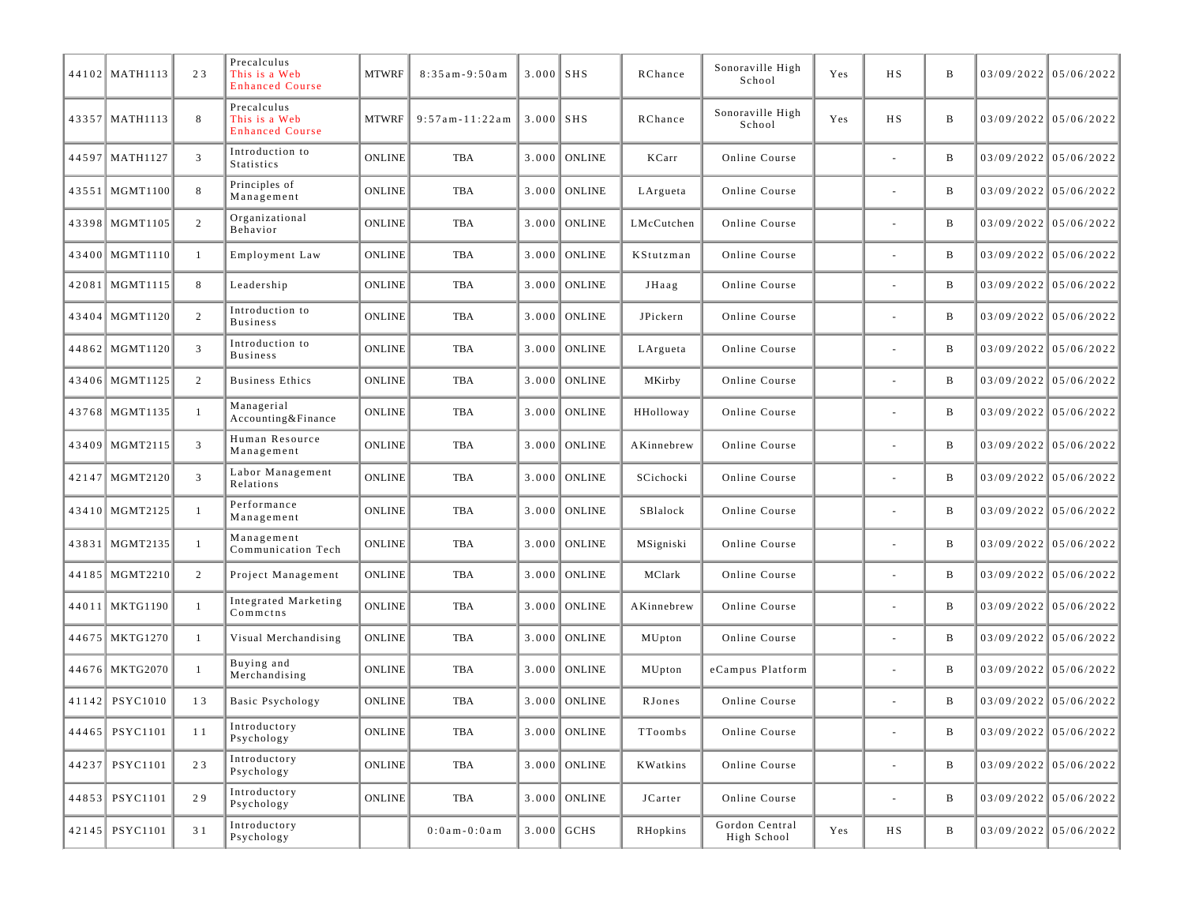| 44102 MATH1113   | 23             | Precalculus<br>This is a Web<br><b>Enhanced Course</b> | <b>MTWRF</b>  | $8:35am-9:50am$        | $3.000$ SHS |                | RChance    | Sonoraville High<br>School    | Yes | H S            | B            | $03/09/2022$ 05/06/2022 |
|------------------|----------------|--------------------------------------------------------|---------------|------------------------|-------------|----------------|------------|-------------------------------|-----|----------------|--------------|-------------------------|
| 43357   MATH1113 | 8              | Precalculus<br>This is a Web<br><b>Enhanced Course</b> | <b>MTWRF</b>  | $9:57$ am - $11:22$ am | $3.000$ SHS |                | RChance    | Sonoraville High<br>School    | Yes | <b>HS</b>      | B            | $03/09/2022$ 05/06/2022 |
| 44597 MATH1127   | 3              | Introduction to<br>Statistics                          | <b>ONLINE</b> | TBA                    |             | $3.000$ ONLINE | KCarr      | Online Course                 |     |                | B            | $03/09/2022$ 05/06/2022 |
| 43551   MGMT1100 | 8              | Principles of<br>Management                            | <b>ONLINE</b> | TBA                    |             | $3.000$ ONLINE | LArgueta   | Online Course                 |     |                | B            | $03/09/2022$ 05/06/2022 |
| 43398 MGMT1105   | $\overline{2}$ | Organizational<br>Behavior                             | <b>ONLINE</b> | TBA                    |             | $3.000$ ONLINE | LMcCutchen | Online Course                 |     |                | B            | $03/09/2022$ 05/06/2022 |
| 43400 MGMT1110   | $\mathbf{1}$   | Employment Law                                         | <b>ONLINE</b> | TBA                    | 3.000       | <b>ONLINE</b>  | KStutzman  | Online Course                 |     |                | B            | $03/09/2022$ 05/06/2022 |
| 42081 MGMT1115   | 8              | Leadership                                             | <b>ONLINE</b> | TBA                    |             | $3.000$ ONLINE | JHaag      | Online Course                 |     |                | B            | $03/09/2022$ 05/06/2022 |
| 43404 MGMT1120   | $\overline{2}$ | Introduction to<br><b>Business</b>                     | <b>ONLINE</b> | TBA                    |             | $3.000$ ONLINE | JPickern   | Online Course                 |     |                | B            | $03/09/2022$ 05/06/2022 |
| 44862 MGMT1120   | $\mathfrak{Z}$ | Introduction to<br><b>Business</b>                     | <b>ONLINE</b> | TBA                    |             | $3.000$ ONLINE | LArgueta   | Online Course                 |     |                | B            | $03/09/2022$ 05/06/2022 |
| 43406 MGMT1125   | 2              | <b>Business Ethics</b>                                 | <b>ONLINE</b> | TBA                    |             | $3.000$ ONLINE | MKirby     | Online Course                 |     |                | B            | $03/09/2022$ 05/06/2022 |
| 43768 MGMT1135   | $\mathbf{1}$   | Managerial<br>Accounting&Finance                       | <b>ONLINE</b> | TBA                    |             | $3.000$ ONLINE | HHolloway  | Online Course                 |     |                | B            | $03/09/2022$ 05/06/2022 |
| 43409 MGMT2115   | 3              | Human Resource<br>Management                           | <b>ONLINE</b> | TBA                    |             | $3.000$ ONLINE | AKinnebrew | Online Course                 |     |                | B            | $03/09/2022$ 05/06/2022 |
| 42147 MGMT2120   | 3              | Labor Management<br>Relations                          | <b>ONLINE</b> | TBA                    |             | $3.000$ ONLINE | SCichocki  | Online Course                 |     |                | B            | $03/09/2022$ 05/06/2022 |
| 43410 MGMT2125   | 1              | Performance<br>Management                              | <b>ONLINE</b> | TBA                    |             | $3.000$ ONLINE | SBlalock   | Online Course                 |     |                | B            | $03/09/2022$ 05/06/2022 |
| 43831 MGMT2135   | -1             | Management<br>Communication Tech                       | <b>ONLINE</b> | TBA                    |             | $3.000$ ONLINE | MSigniski  | Online Course                 |     |                | B            | $03/09/2022$ 05/06/2022 |
| 44185 MGMT2210   | 2              | Project Management                                     | <b>ONLINE</b> | TBA                    |             | $3.000$ ONLINE | MClark     | Online Course                 |     |                | B            | $03/09/2022$ 05/06/2022 |
| 44011 MKTG1190   | 1              | Integrated Marketing<br>Commetns                       | <b>ONLINE</b> | TBA                    |             | $3.000$ ONLINE | AKinnebrew | Online Course                 |     |                | B            | $03/09/2022$ 05/06/2022 |
| 44675 MKTG1270   | -1             | Visual Merchandising                                   | <b>ONLINE</b> | TBA                    |             | $3.000$ ONLINE | MUpton     | Online Course                 |     |                | B            | $03/09/2022$ 05/06/2022 |
| 44676 MKTG2070   |                | Buying and<br>Merchandising                            | <b>ONLINE</b> | TBA                    |             | $3.000$ ONLINE | MUpton     | eCampus Platform              |     |                | B            | $03/09/2022$ 05/06/2022 |
| 41142 PSYC1010   | 13             | <b>Basic Psychology</b>                                | <b>ONLINE</b> | TBA                    |             | $3.000$ ONLINE | RJones     | Online Course                 |     |                | B            | $03/09/2022$ 05/06/2022 |
| 44465 PSYC1101   | 11             | Introductory<br>Psychology                             | <b>ONLINE</b> | TBA                    |             | $3.000$ ONLINE | TToombs    | Online Course                 |     |                | B            | $03/09/2022$ 05/06/2022 |
| 44237 PSYC1101   | 23             | Introductory<br>Psychology                             | <b>ONLINE</b> | TBA                    |             | $3.000$ ONLINE | KWatkins   | Online Course                 |     |                | $\, {\bf B}$ | $03/09/2022$ 05/06/2022 |
| 44853 PSYC1101   | 29             | Introductory<br>Psychology                             | <b>ONLINE</b> | TBA                    |             | $3.000$ ONLINE | JCarter    | Online Course                 |     | $\blacksquare$ | B            | $03/09/2022$ 05/06/2022 |
| 42145 PSYC1101   | 3 1            | Introductory<br>Psychology                             |               | $0:0$ am - $0:0$ am    |             | $3.000$ GCHS   | RHopkins   | Gordon Central<br>High School | Yes | H S            | B            | $03/09/2022$ 05/06/2022 |